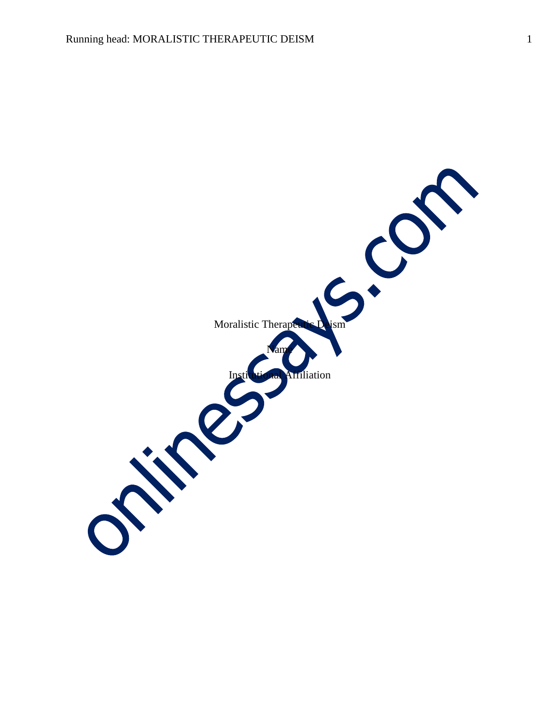Moralistic Therapeutic Deism Name **Affiliation**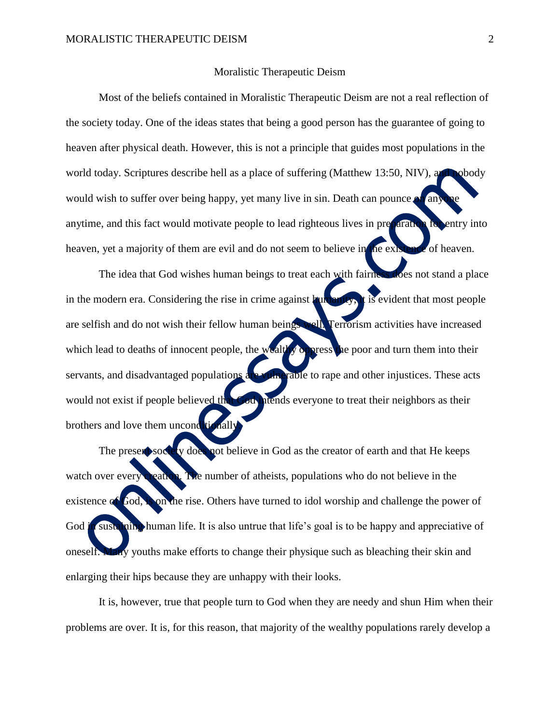## Moralistic Therapeutic Deism

Most of the beliefs contained in Moralistic Therapeutic Deism are not a real reflection of the society today. One of the ideas states that being a good person has the guarantee of going to heaven after physical death. However, this is not a principle that guides most populations in the world today. Scriptures describe hell as a place of suffering (Matthew 13:50, NIV), and nobody would wish to suffer over being happy, yet many live in sin. Death can pounce on any anytime, and this fact would motivate people to lead righteous lives in preparation for entry into heaven, yet a majority of them are evil and do not seem to believe in the existence of heaven.

The idea that God wishes human beings to treat each with fairness does not stand a place in the modern era. Considering the rise in crime against humanity, it is evident that most people are selfish and do not wish their fellow human beings well. Terrorism activities have increased which lead to deaths of innocent people, the wealthy oppress the poor and turn them into their servants, and disadvantaged populations are vulnerable to rape and other injustices. These acts would not exist if people believed that God intends everyone to treat their neighbors as their brothers and love them uncond

The present society does not believe in God as the creator of earth and that He keeps watch over every creation. The number of atheists, populations who do not believe in the existence of God, is on the rise. Others have turned to idol worship and challenge the power of God in sustaining human life. It is also untrue that life's goal is to be happy and appreciative of oneself. Many youths make efforts to change their physique such as bleaching their skin and enlarging their hips because they are unhappy with their looks.

It is, however, true that people turn to God when they are needy and shun Him when their problems are over. It is, for this reason, that majority of the wealthy populations rarely develop a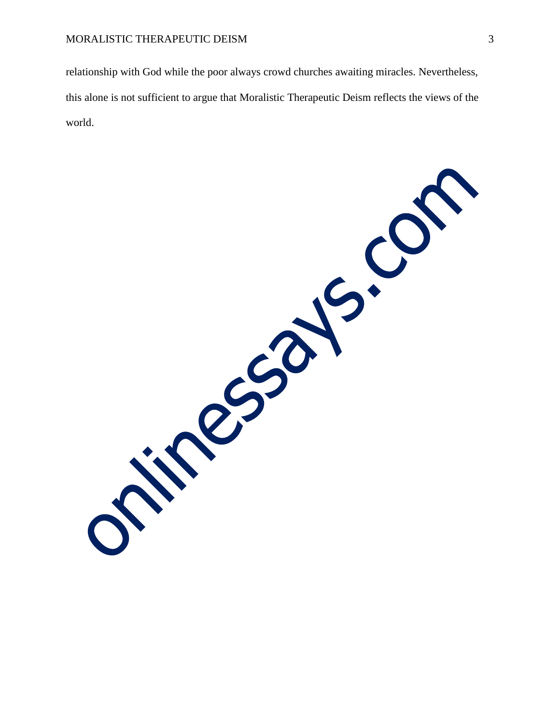## MORALISTIC THERAPEUTIC DEISM 3

relationship with God while the poor always crowd churches awaiting miracles. Nevertheless, this alone is not sufficient to argue that Moralistic Therapeutic Deism reflects the views of the world.

resolution